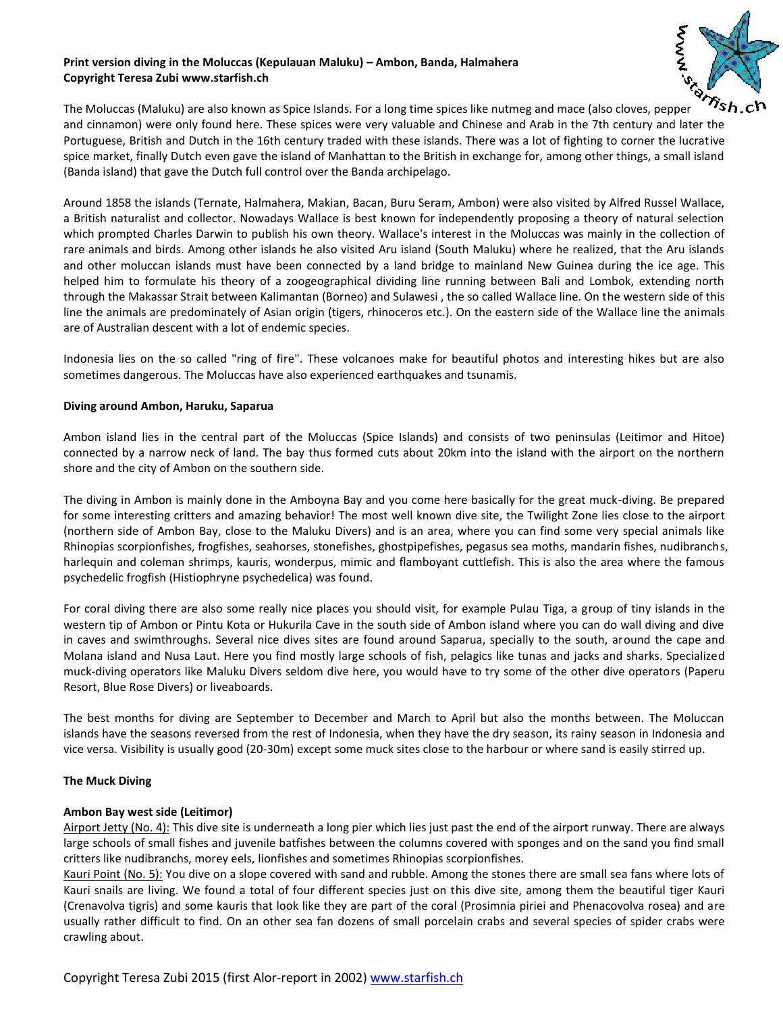## **Print version diving in the Moluccas (Kepulauan Maluku) – Ambon, Banda, Halmahera Copyright Teresa Zubi www.starfish.ch**



The Moluccas (Maluku) are also known as Spice Islands. For a long time spices like nutmeg and mace (also cloves, pepper and cinnamon) were only found here. These spices were very valuable and Chinese and Arab in the 7th century and later the Portuguese, British and Dutch in the 16th century traded with these islands. There was a lot of fighting to corner the lucrative spice market, finally Dutch even gave the island of Manhattan to the British in exchange for, among other things, a small island (Banda island) that gave the Dutch full control over the Banda archipelago.

Around 1858 the islands (Ternate, Halmahera, Makian, Bacan, Buru Seram, Ambon) were also visited by Alfred Russel Wallace, a British naturalist and collector. Nowadays Wallace is best known for independently proposing a theory of natural selection which prompted Charles Darwin to publish his own theory. Wallace's interest in the Moluccas was mainly in the collection of rare animals and birds. Among other islands he also visited Aru island (South Maluku) where he realized, that the Aru islands and other moluccan islands must have been connected by a land bridge to mainland New Guinea during the ice age. This helped him to formulate his theory of a zoogeographical dividing line running between Bali and Lombok, extending north through the Makassar Strait between Kalimantan (Borneo) and Sulawesi , the so called Wallace line. On the western side of this line the animals are predominately of Asian origin (tigers, rhinoceros etc.). On the eastern side of the Wallace line the animals are of Australian descent with a lot of endemic species.

Indonesia lies on the so called "ring of fire". These volcanoes make for beautiful photos and interesting hikes but are also sometimes dangerous. The Moluccas have also experienced earthquakes and tsunamis.

## **Diving around Ambon, Haruku, Saparua**

Ambon island lies in the central part of the Moluccas (Spice Islands) and consists of two peninsulas (Leitimor and Hitoe) connected by a narrow neck of land. The bay thus formed cuts about 20km into the island with the airport on the northern shore and the city of Ambon on the southern side.

The diving in Ambon is mainly done in the Amboyna Bay and you come here basically for the great muck-diving. Be prepared for some interesting critters and amazing behavior! The most well known dive site, the Twilight Zone lies close to the airport (northern side of Ambon Bay, close to the Maluku Divers) and is an area, where you can find some very special animals like Rhinopias scorpionfishes, frogfishes, seahorses, stonefishes, ghostpipefishes, pegasus sea moths, mandarin fishes, nudibranchs, harlequin and coleman shrimps, kauris, wonderpus, mimic and flamboyant cuttlefish. This is also the area where the famous psychedelic frogfish (Histiophryne psychedelica) was found.

For coral diving there are also some really nice places you should visit, for example Pulau Tiga, a group of tiny islands in the western tip of Ambon or Pintu Kota or Hukurila Cave in the south side of Ambon island where you can do wall diving and dive in caves and swimthroughs. Several nice dives sites are found around Saparua, specially to the south, around the cape and Molana island and Nusa Laut. Here you find mostly large schools of fish, pelagics like tunas and jacks and sharks. Specialized muck-diving operators like Maluku Divers seldom dive here, you would have to try some of the other dive operators (Paperu Resort, Blue Rose Divers) or liveaboards.

The best months for diving are September to December and March to April but also the months between. The Moluccan islands have the seasons reversed from the rest of Indonesia, when they have the dry season, its rainy season in Indonesia and vice versa. Visibility is usually good (20-30m) except some muck sites close to the harbour or where sand is easily stirred up.

## **The Muck Diving**

## **Ambon Bay west side (Leitimor)**

Airport Jetty (No. 4): This dive site is underneath a long pier which lies just past the end of the airport runway. There are always large schools of small fishes and juvenile batfishes between the columns covered with sponges and on the sand you find small critters like nudibranchs, morey eels, lionfishes and sometimes Rhinopias scorpionfishes.

Kauri Point (No. 5): You dive on a slope covered with sand and rubble. Among the stones there are small sea fans where lots of Kauri snails are living. We found a total of four different species just on this dive site, among them the beautiful tiger Kauri (Crenavolva tigris) and some kauris that look like they are part of the coral (Prosimnia piriei and Phenacovolva rosea) and are usually rather difficult to find. On an other sea fan dozens of small porcelain crabs and several species of spider crabs were crawling about.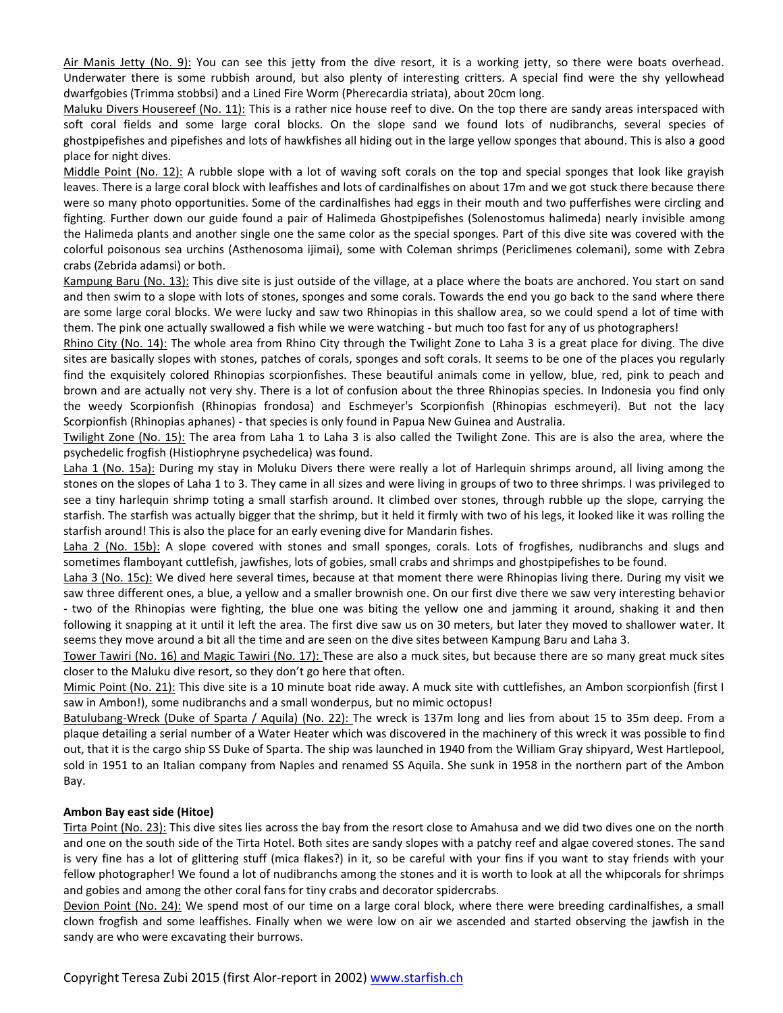Air Manis Jetty (No. 9): You can see this jetty from the dive resort, it is a working jetty, so there were boats overhead. Underwater there is some rubbish around, but also plenty of interesting critters. A special find were the shy yellowhead dwarfgobies (Trimma stobbsi) and a Lined Fire Worm (Pherecardia striata), about 20cm long.

Maluku Divers Housereef (No. 11): This is a rather nice house reef to dive. On the top there are sandy areas interspaced with soft coral fields and some large coral blocks. On the slope sand we found lots of nudibranchs, several species of ghostpipefishes and pipefishes and lots of hawkfishes all hiding out in the large yellow sponges that abound. This is also a good place for night dives.

Middle Point (No. 12): A rubble slope with a lot of waving soft corals on the top and special sponges that look like grayish leaves. There is a large coral block with leaffishes and lots of cardinalfishes on about 17m and we got stuck there because there were so many photo opportunities. Some of the cardinalfishes had eggs in their mouth and two pufferfishes were circling and fighting. Further down our guide found a pair of Halimeda Ghostpipefishes (Solenostomus halimeda) nearly invisible among the Halimeda plants and another single one the same color as the special sponges. Part of this dive site was covered with the colorful poisonous sea urchins (Asthenosoma ijimai), some with Coleman shrimps (Periclimenes colemani), some with Zebra crabs (Zebrida adamsi) or both.

Kampung Baru (No. 13): This dive site is just outside of the village, at a place where the boats are anchored. You start on sand and then swim to a slope with lots of stones, sponges and some corals. Towards the end you go back to the sand where there are some large coral blocks. We were lucky and saw two Rhinopias in this shallow area, so we could spend a lot of time with them. The pink one actually swallowed a fish while we were watching - but much too fast for any of us photographers!

Rhino City (No. 14): The whole area from Rhino City through the Twilight Zone to Laha 3 is a great place for diving. The dive sites are basically slopes with stones, patches of corals, sponges and soft corals. It seems to be one of the places you regularly find the exquisitely colored Rhinopias scorpionfishes. These beautiful animals come in yellow, blue, red, pink to peach and brown and are actually not very shy. There is a lot of confusion about the three Rhinopias species. In Indonesia you find only the weedy Scorpionfish (Rhinopias frondosa) and Eschmeyer's Scorpionfish (Rhinopias eschmeyeri). But not the lacy Scorpionfish (Rhinopias aphanes) - that species is only found in Papua New Guinea and Australia.

Twilight Zone (No. 15): The area from Laha 1 to Laha 3 is also called the Twilight Zone. This are is also the area, where the psychedelic frogfish (Histiophryne psychedelica) was found.

Laha 1 (No. 15a): During my stay in Moluku Divers there were really a lot of Harlequin shrimps around, all living among the stones on the slopes of Laha 1 to 3. They came in all sizes and were living in groups of two to three shrimps. I was privileged to see a tiny harlequin shrimp toting a small starfish around. It climbed over stones, through rubble up the slope, carrying the starfish. The starfish was actually bigger that the shrimp, but it held it firmly with two of his legs, it looked like it was rolling the starfish around! This is also the place for an early evening dive for Mandarin fishes.

Laha 2 (No. 15b): A slope covered with stones and small sponges, corals. Lots of frogfishes, nudibranchs and slugs and sometimes flamboyant cuttlefish, jawfishes, lots of gobies, small crabs and shrimps and ghostpipefishes to be found.

Laha 3 (No. 15c): We dived here several times, because at that moment there were Rhinopias living there. During my visit we saw three different ones, a blue, a yellow and a smaller brownish one. On our first dive there we saw very interesting behavior - two of the Rhinopias were fighting, the blue one was biting the yellow one and jamming it around, shaking it and then following it snapping at it until it left the area. The first dive saw us on 30 meters, but later they moved to shallower water. It seems they move around a bit all the time and are seen on the dive sites between Kampung Baru and Laha 3.

Tower Tawiri (No. 16) and Magic Tawiri (No. 17): These are also a muck sites, but because there are so many great muck sites closer to the Maluku dive resort, so they don't go here that often.

Mimic Point (No. 21): This dive site is a 10 minute boat ride away. A muck site with cuttlefishes, an Ambon scorpionfish (first I saw in Ambon!), some nudibranchs and a small wonderpus, but no mimic octopus!

Batulubang-Wreck (Duke of Sparta / Aquila) (No. 22): The wreck is 137m long and lies from about 15 to 35m deep. From a plaque detailing a serial number of a Water Heater which was discovered in the machinery of this wreck it was possible to find out, that it is the cargo ship SS Duke of Sparta. The ship was launched in 1940 from the William Gray shipyard, West Hartlepool, sold in 1951 to an Italian company from Naples and renamed SS Aquila. She sunk in 1958 in the northern part of the Ambon Bay.

## **Ambon Bay east side (Hitoe)**

Tirta Point (No. 23): This dive sites lies across the bay from the resort close to Amahusa and we did two dives one on the north and one on the south side of the Tirta Hotel. Both sites are sandy slopes with a patchy reef and algae covered stones. The sand is very fine has a lot of glittering stuff (mica flakes?) in it, so be careful with your fins if you want to stay friends with your fellow photographer! We found a lot of nudibranchs among the stones and it is worth to look at all the whipcorals for shrimps and gobies and among the other coral fans for tiny crabs and decorator spidercrabs.

Devion Point (No. 24): We spend most of our time on a large coral block, where there were breeding cardinalfishes, a small clown frogfish and some leaffishes. Finally when we were low on air we ascended and started observing the jawfish in the sandy are who were excavating their burrows.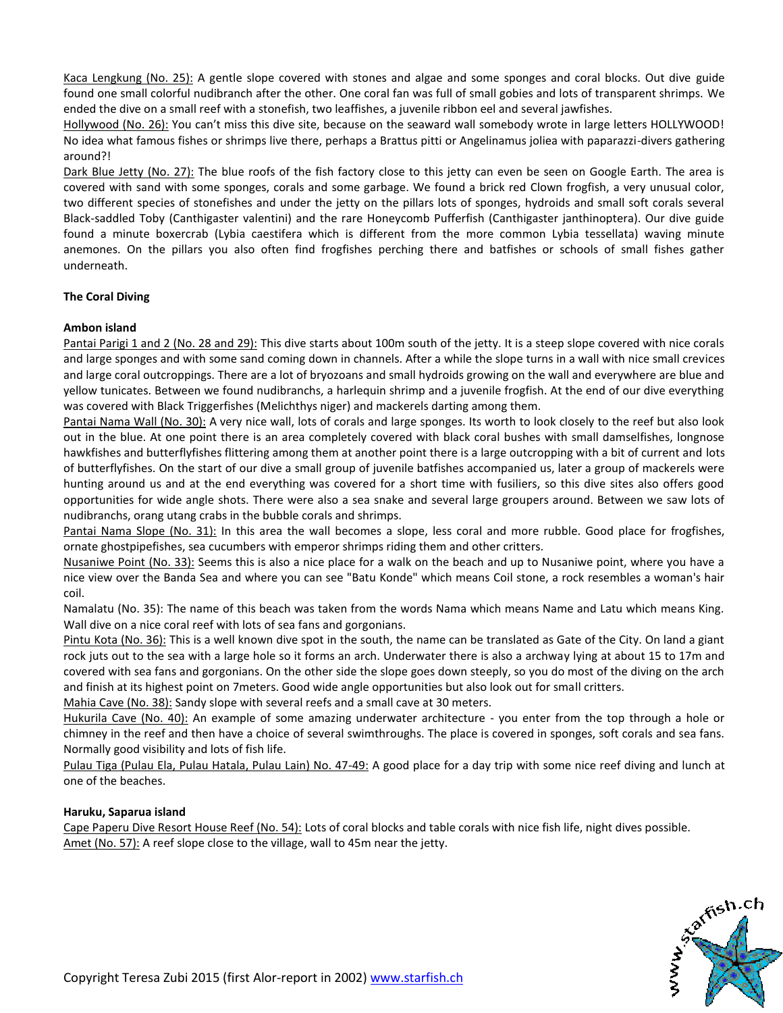Kaca Lengkung (No. 25): A gentle slope covered with stones and algae and some sponges and coral blocks. Out dive guide found one small colorful nudibranch after the other. One coral fan was full of small gobies and lots of transparent shrimps. We ended the dive on a small reef with a stonefish, two leaffishes, a juvenile ribbon eel and several jawfishes.

Hollywood (No. 26): You can't miss this dive site, because on the seaward wall somebody wrote in large letters HOLLYWOOD! No idea what famous fishes or shrimps live there, perhaps a Brattus pitti or Angelinamus joliea with paparazzi-divers gathering around?!

Dark Blue Jetty (No. 27): The blue roofs of the fish factory close to this jetty can even be seen on Google Earth. The area is covered with sand with some sponges, corals and some garbage. We found a brick red Clown frogfish, a very unusual color, two different species of stonefishes and under the jetty on the pillars lots of sponges, hydroids and small soft corals several Black-saddled Toby (Canthigaster valentini) and the rare Honeycomb Pufferfish (Canthigaster janthinoptera). Our dive guide found a minute boxercrab (Lybia caestifera which is different from the more common Lybia tessellata) waving minute anemones. On the pillars you also often find frogfishes perching there and batfishes or schools of small fishes gather underneath.

# **The Coral Diving**

# **Ambon island**

Pantai Parigi 1 and 2 (No. 28 and 29): This dive starts about 100m south of the jetty. It is a steep slope covered with nice corals and large sponges and with some sand coming down in channels. After a while the slope turns in a wall with nice small crevices and large coral outcroppings. There are a lot of bryozoans and small hydroids growing on the wall and everywhere are blue and yellow tunicates. Between we found nudibranchs, a harlequin shrimp and a juvenile frogfish. At the end of our dive everything was covered with Black Triggerfishes (Melichthys niger) and mackerels darting among them.

Pantai Nama Wall (No. 30): A very nice wall, lots of corals and large sponges. Its worth to look closely to the reef but also look out in the blue. At one point there is an area completely covered with black coral bushes with small damselfishes, longnose hawkfishes and butterflyfishes flittering among them at another point there is a large outcropping with a bit of current and lots of butterflyfishes. On the start of our dive a small group of juvenile batfishes accompanied us, later a group of mackerels were hunting around us and at the end everything was covered for a short time with fusiliers, so this dive sites also offers good opportunities for wide angle shots. There were also a sea snake and several large groupers around. Between we saw lots of nudibranchs, orang utang crabs in the bubble corals and shrimps.

Pantai Nama Slope (No. 31): In this area the wall becomes a slope, less coral and more rubble. Good place for frogfishes, ornate ghostpipefishes, sea cucumbers with emperor shrimps riding them and other critters.

Nusaniwe Point (No. 33): Seems this is also a nice place for a walk on the beach and up to Nusaniwe point, where you have a nice view over the Banda Sea and where you can see "Batu Konde" which means Coil stone, a rock resembles a woman's hair coil.

Namalatu (No. 35): The name of this beach was taken from the words Nama which means Name and Latu which means King. Wall dive on a nice coral reef with lots of sea fans and gorgonians.

Pintu Kota (No. 36): This is a well known dive spot in the south, the name can be translated as Gate of the City. On land a giant rock juts out to the sea with a large hole so it forms an arch. Underwater there is also a archway lying at about 15 to 17m and covered with sea fans and gorgonians. On the other side the slope goes down steeply, so you do most of the diving on the arch and finish at its highest point on 7meters. Good wide angle opportunities but also look out for small critters.

Mahia Cave (No. 38): Sandy slope with several reefs and a small cave at 30 meters.

Hukurila Cave (No. 40): An example of some amazing underwater architecture - you enter from the top through a hole or chimney in the reef and then have a choice of several swimthroughs. The place is covered in sponges, soft corals and sea fans. Normally good visibility and lots of fish life.

Pulau Tiga (Pulau Ela, Pulau Hatala, Pulau Lain) No. 47-49: A good place for a day trip with some nice reef diving and lunch at one of the beaches.

## **Haruku, Saparua island**

Cape Paperu Dive Resort House Reef (No. 54): Lots of coral blocks and table corals with nice fish life, night dives possible. Amet (No. 57): A reef slope close to the village, wall to 45m near the jetty.